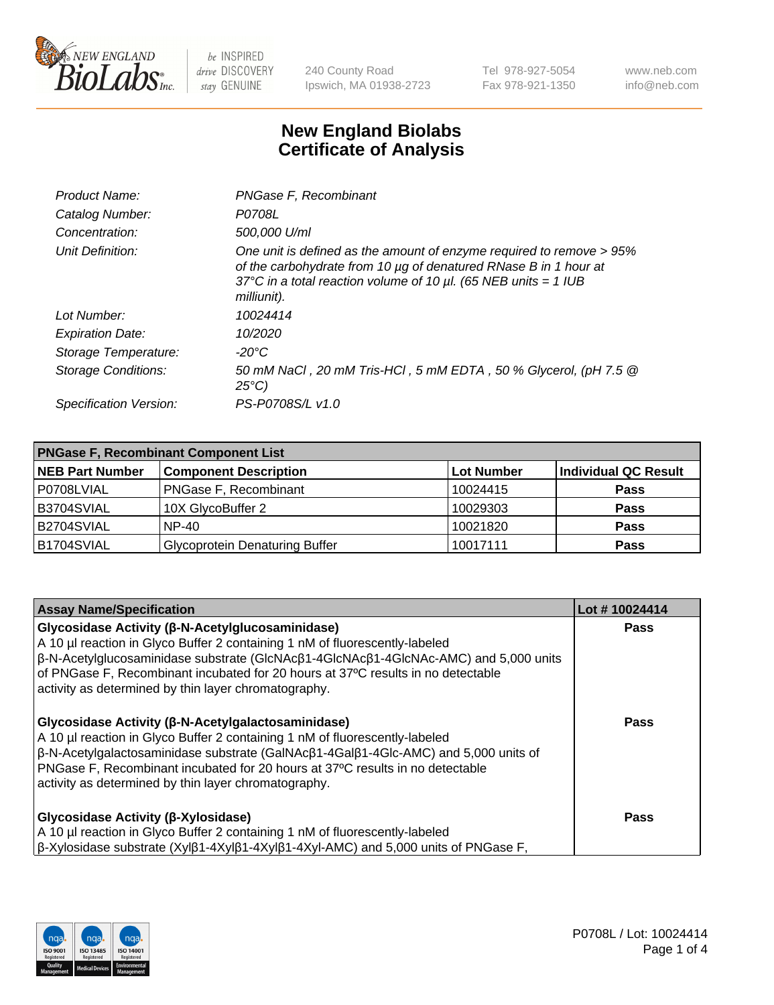

240 County Road Ipswich, MA 01938-2723 Tel 978-927-5054 Fax 978-921-1350 www.neb.com info@neb.com

## **New England Biolabs Certificate of Analysis**

| Product Name:              | PNGase F, Recombinant                                                                                                                                                                                                           |
|----------------------------|---------------------------------------------------------------------------------------------------------------------------------------------------------------------------------------------------------------------------------|
| Catalog Number:            | P0708L                                                                                                                                                                                                                          |
| Concentration:             | 500,000 U/ml                                                                                                                                                                                                                    |
| Unit Definition:           | One unit is defined as the amount of enzyme required to remove > 95%<br>of the carbohydrate from 10 µg of denatured RNase B in 1 hour at<br>37°C in a total reaction volume of 10 $\mu$ l. (65 NEB units = 1 IUB<br>milliunit). |
| Lot Number:                | 10024414                                                                                                                                                                                                                        |
| <b>Expiration Date:</b>    | 10/2020                                                                                                                                                                                                                         |
| Storage Temperature:       | $-20^{\circ}$ C                                                                                                                                                                                                                 |
| <b>Storage Conditions:</b> | 50 mM NaCl, 20 mM Tris-HCl, 5 mM EDTA, 50 % Glycerol, (pH 7.5 @<br>$25^{\circ}C$                                                                                                                                                |
| Specification Version:     | PS-P0708S/L v1.0                                                                                                                                                                                                                |

| <b>PNGase F, Recombinant Component List</b> |                                       |                   |                      |  |
|---------------------------------------------|---------------------------------------|-------------------|----------------------|--|
| <b>NEB Part Number</b>                      | <b>Component Description</b>          | <b>Lot Number</b> | Individual QC Result |  |
| P0708LVIAL                                  | <b>PNGase F, Recombinant</b>          | 10024415          | <b>Pass</b>          |  |
| B3704SVIAL                                  | 10X GlycoBuffer 2                     | 10029303          | <b>Pass</b>          |  |
| B2704SVIAL                                  | $NP-40$                               | 10021820          | <b>Pass</b>          |  |
| B1704SVIAL                                  | <b>Glycoprotein Denaturing Buffer</b> | 10017111          | <b>Pass</b>          |  |

| <b>Assay Name/Specification</b>                                                                                                                                                                                                                                                                                                                                                                                                                  | Lot #10024414 |
|--------------------------------------------------------------------------------------------------------------------------------------------------------------------------------------------------------------------------------------------------------------------------------------------------------------------------------------------------------------------------------------------------------------------------------------------------|---------------|
| Glycosidase Activity (β-N-Acetylglucosaminidase)<br>A 10 µl reaction in Glyco Buffer 2 containing 1 nM of fluorescently-labeled<br>$\beta$ -N-Acetylglucosaminidase substrate (GlcNAc $\beta$ 1-4GlcNAc $\beta$ 1-4GlcNAc-AMC) and 5,000 units<br>of PNGase F, Recombinant incubated for 20 hours at 37°C results in no detectable                                                                                                               | Pass          |
| activity as determined by thin layer chromatography.<br>Glycosidase Activity (β-N-Acetylgalactosaminidase)<br>A 10 µl reaction in Glyco Buffer 2 containing 1 nM of fluorescently-labeled<br>$\beta$ -N-Acetylgalactosaminidase substrate (GalNAc $\beta$ 1-4Gal $\beta$ 1-4Glc-AMC) and 5,000 units of<br>PNGase F, Recombinant incubated for 20 hours at 37°C results in no detectable<br>activity as determined by thin layer chromatography. | <b>Pass</b>   |
| Glycosidase Activity (β-Xylosidase)<br>A 10 µl reaction in Glyco Buffer 2 containing 1 nM of fluorescently-labeled<br>$\beta$ -Xylosidase substrate (Xyl $\beta$ 1-4Xyl $\beta$ 1-4Xyl $\beta$ 1-4Xyl-AMC) and 5,000 units of PNGase F,                                                                                                                                                                                                          | Pass          |

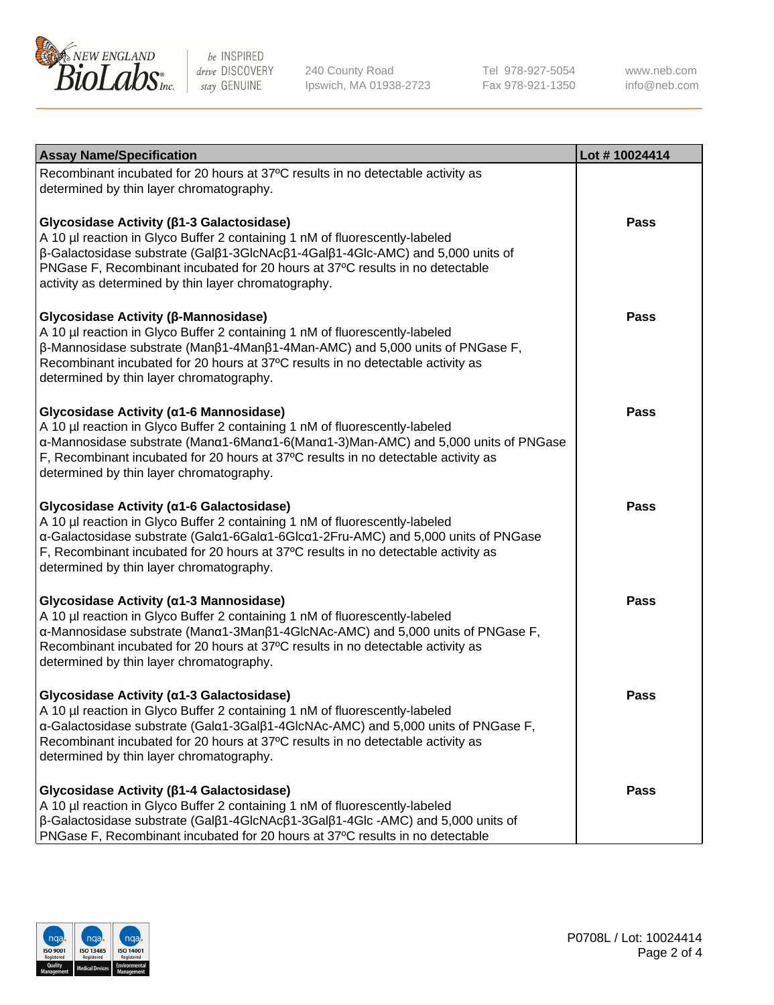

240 County Road Ipswich, MA 01938-2723 Tel 978-927-5054 Fax 978-921-1350

www.neb.com info@neb.com

| <b>Assay Name/Specification</b>                                                                                                                                                                                                                                                                                                                           | Lot #10024414 |
|-----------------------------------------------------------------------------------------------------------------------------------------------------------------------------------------------------------------------------------------------------------------------------------------------------------------------------------------------------------|---------------|
| Recombinant incubated for 20 hours at 37°C results in no detectable activity as<br>determined by thin layer chromatography.                                                                                                                                                                                                                               |               |
| Glycosidase Activity (β1-3 Galactosidase)<br>A 10 µl reaction in Glyco Buffer 2 containing 1 nM of fluorescently-labeled<br>β-Galactosidase substrate (Galβ1-3GlcNAcβ1-4Galβ1-4Glc-AMC) and 5,000 units of<br>PNGase F, Recombinant incubated for 20 hours at 37°C results in no detectable<br>activity as determined by thin layer chromatography.       | Pass          |
| Glycosidase Activity (β-Mannosidase)<br>A 10 µl reaction in Glyco Buffer 2 containing 1 nM of fluorescently-labeled<br>$\beta$ -Mannosidase substrate (Man $\beta$ 1-4Man $\beta$ 1-4Man-AMC) and 5,000 units of PNGase F,<br>Recombinant incubated for 20 hours at 37°C results in no detectable activity as<br>determined by thin layer chromatography. | <b>Pass</b>   |
| Glycosidase Activity (α1-6 Mannosidase)<br>A 10 µl reaction in Glyco Buffer 2 containing 1 nM of fluorescently-labeled<br>α-Mannosidase substrate (Μanα1-6Μanα1-6(Μanα1-3)Man-AMC) and 5,000 units of PNGase<br>F, Recombinant incubated for 20 hours at 37°C results in no detectable activity as<br>determined by thin layer chromatography.            | <b>Pass</b>   |
| Glycosidase Activity (a1-6 Galactosidase)<br>A 10 µl reaction in Glyco Buffer 2 containing 1 nM of fluorescently-labeled<br>α-Galactosidase substrate (Galα1-6Galα1-6Glcα1-2Fru-AMC) and 5,000 units of PNGase<br>F, Recombinant incubated for 20 hours at 37°C results in no detectable activity as<br>determined by thin layer chromatography.          | <b>Pass</b>   |
| Glycosidase Activity (α1-3 Mannosidase)<br>A 10 µl reaction in Glyco Buffer 2 containing 1 nM of fluorescently-labeled<br>α-Mannosidase substrate (Manα1-3Manβ1-4GlcNAc-AMC) and 5,000 units of PNGase F,<br>Recombinant incubated for 20 hours at 37°C results in no detectable activity as<br>determined by thin layer chromatography.                  | <b>Pass</b>   |
| Glycosidase Activity (α1-3 Galactosidase)<br>A 10 µl reaction in Glyco Buffer 2 containing 1 nM of fluorescently-labeled<br>α-Galactosidase substrate (Galα1-3Galβ1-4GlcNAc-AMC) and 5,000 units of PNGase F,<br>Recombinant incubated for 20 hours at 37°C results in no detectable activity as<br>determined by thin layer chromatography.              | Pass          |
| Glycosidase Activity (β1-4 Galactosidase)<br>A 10 µl reaction in Glyco Buffer 2 containing 1 nM of fluorescently-labeled<br>$\beta$ -Galactosidase substrate (Gal $\beta$ 1-4GlcNAc $\beta$ 1-3Gal $\beta$ 1-4Glc -AMC) and 5,000 units of<br>PNGase F, Recombinant incubated for 20 hours at 37°C results in no detectable                               | <b>Pass</b>   |

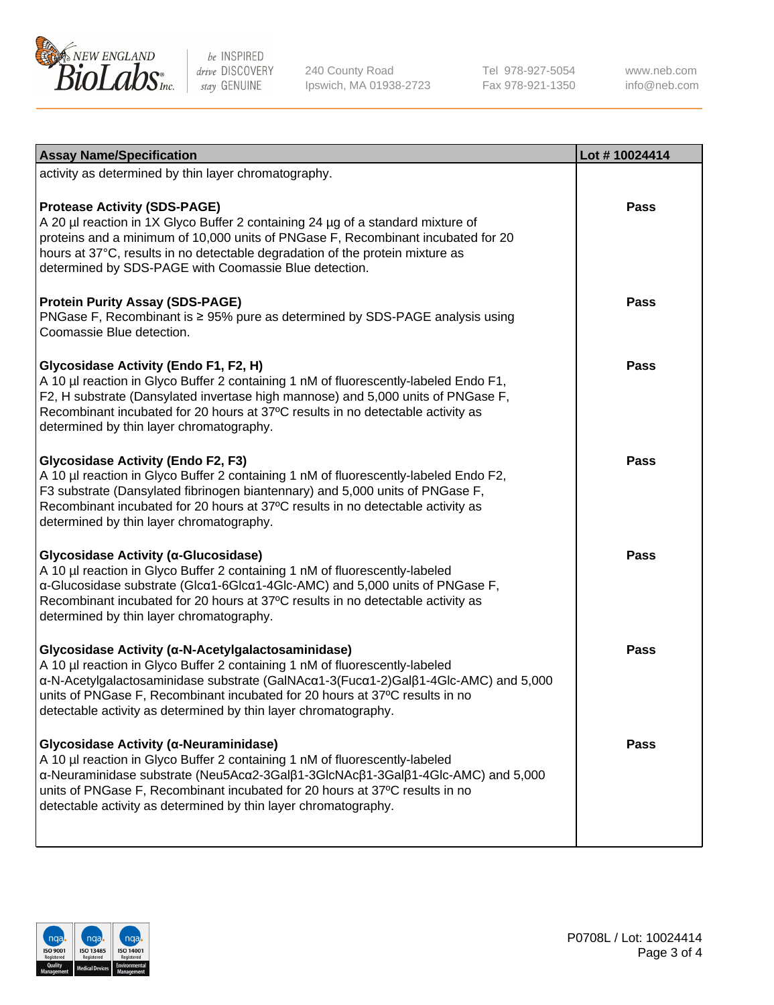

240 County Road Ipswich, MA 01938-2723 Tel 978-927-5054 Fax 978-921-1350 www.neb.com info@neb.com

| <b>Assay Name/Specification</b>                                                                                                                                                                                                                                                                                                                                            | Lot #10024414 |
|----------------------------------------------------------------------------------------------------------------------------------------------------------------------------------------------------------------------------------------------------------------------------------------------------------------------------------------------------------------------------|---------------|
| activity as determined by thin layer chromatography.                                                                                                                                                                                                                                                                                                                       |               |
| <b>Protease Activity (SDS-PAGE)</b><br>A 20 µl reaction in 1X Glyco Buffer 2 containing 24 µg of a standard mixture of<br>proteins and a minimum of 10,000 units of PNGase F, Recombinant incubated for 20<br>hours at 37°C, results in no detectable degradation of the protein mixture as<br>determined by SDS-PAGE with Coomassie Blue detection.                       | <b>Pass</b>   |
| <b>Protein Purity Assay (SDS-PAGE)</b><br>PNGase F, Recombinant is ≥ 95% pure as determined by SDS-PAGE analysis using<br>Coomassie Blue detection.                                                                                                                                                                                                                        | <b>Pass</b>   |
| Glycosidase Activity (Endo F1, F2, H)<br>A 10 µl reaction in Glyco Buffer 2 containing 1 nM of fluorescently-labeled Endo F1,<br>F2, H substrate (Dansylated invertase high mannose) and 5,000 units of PNGase F,<br>Recombinant incubated for 20 hours at 37°C results in no detectable activity as<br>determined by thin layer chromatography.                           | <b>Pass</b>   |
| <b>Glycosidase Activity (Endo F2, F3)</b><br>A 10 µl reaction in Glyco Buffer 2 containing 1 nM of fluorescently-labeled Endo F2,<br>F3 substrate (Dansylated fibrinogen biantennary) and 5,000 units of PNGase F,<br>Recombinant incubated for 20 hours at 37°C results in no detectable activity as<br>determined by thin layer chromatography.                          | <b>Pass</b>   |
| Glycosidase Activity (α-Glucosidase)<br>A 10 µl reaction in Glyco Buffer 2 containing 1 nM of fluorescently-labeled<br>α-Glucosidase substrate (Glcα1-6Glcα1-4Glc-AMC) and 5,000 units of PNGase F,<br>Recombinant incubated for 20 hours at 37°C results in no detectable activity as<br>determined by thin layer chromatography.                                         | <b>Pass</b>   |
| Glycosidase Activity (α-N-Acetylgalactosaminidase)<br>A 10 µl reaction in Glyco Buffer 2 containing 1 nM of fluorescently-labeled<br>α-N-Acetylgalactosaminidase substrate (GalNAcα1-3(Fucα1-2)Galβ1-4Glc-AMC) and 5,000<br>units of PNGase F, Recombinant incubated for 20 hours at 37°C results in no<br>detectable activity as determined by thin layer chromatography. | <b>Pass</b>   |
| Glycosidase Activity (α-Neuraminidase)<br>A 10 µl reaction in Glyco Buffer 2 containing 1 nM of fluorescently-labeled<br>α-Neuraminidase substrate (Neu5Acα2-3Galβ1-3GlcNAcβ1-3Galβ1-4Glc-AMC) and 5,000<br>units of PNGase F, Recombinant incubated for 20 hours at 37°C results in no<br>detectable activity as determined by thin layer chromatography.                 | <b>Pass</b>   |